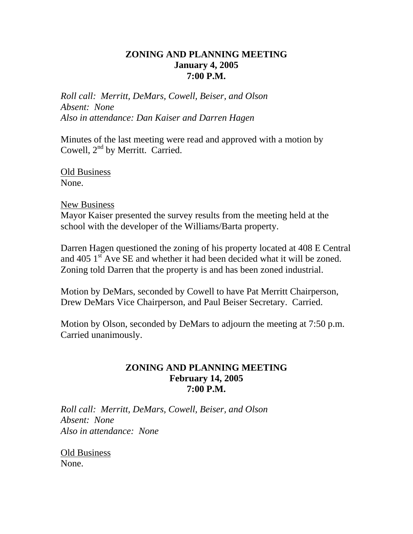## **ZONING AND PLANNING MEETING January 4, 2005 7:00 P.M.**

*Roll call: Merritt, DeMars, Cowell, Beiser, and Olson Absent: None Also in attendance: Dan Kaiser and Darren Hagen* 

Minutes of the last meeting were read and approved with a motion by Cowell,  $2<sup>nd</sup>$  by Merritt. Carried.

Old Business None.

#### New Business

Mayor Kaiser presented the survey results from the meeting held at the school with the developer of the Williams/Barta property.

Darren Hagen questioned the zoning of his property located at 408 E Central and 405 1<sup>st</sup> Ave SE and whether it had been decided what it will be zoned. Zoning told Darren that the property is and has been zoned industrial.

Motion by DeMars, seconded by Cowell to have Pat Merritt Chairperson, Drew DeMars Vice Chairperson, and Paul Beiser Secretary. Carried.

Motion by Olson, seconded by DeMars to adjourn the meeting at 7:50 p.m. Carried unanimously.

#### **ZONING AND PLANNING MEETING February 14, 2005 7:00 P.M.**

*Roll call: Merritt, DeMars, Cowell, Beiser, and Olson Absent: None Also in attendance: None* 

Old Business None.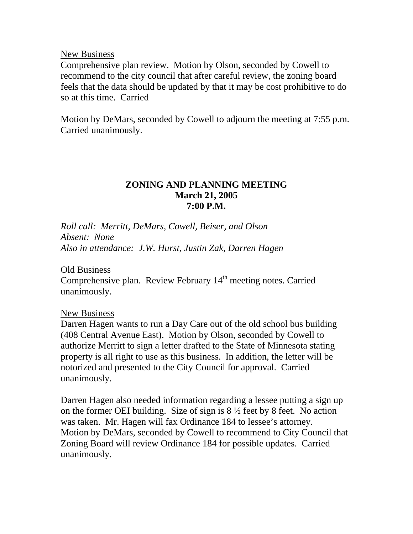New Business

Comprehensive plan review. Motion by Olson, seconded by Cowell to recommend to the city council that after careful review, the zoning board feels that the data should be updated by that it may be cost prohibitive to do so at this time. Carried

Motion by DeMars, seconded by Cowell to adjourn the meeting at 7:55 p.m. Carried unanimously.

### **ZONING AND PLANNING MEETING March 21, 2005 7:00 P.M.**

*Roll call: Merritt, DeMars, Cowell, Beiser, and Olson Absent: None Also in attendance: J.W. Hurst, Justin Zak, Darren Hagen* 

Old Business  $\overline{\text{Comprehensive plan}}$ . Review February  $14^{\text{th}}$  meeting notes. Carried unanimously.

#### New Business

Darren Hagen wants to run a Day Care out of the old school bus building (408 Central Avenue East). Motion by Olson, seconded by Cowell to authorize Merritt to sign a letter drafted to the State of Minnesota stating property is all right to use as this business. In addition, the letter will be notorized and presented to the City Council for approval. Carried unanimously.

Darren Hagen also needed information regarding a lessee putting a sign up on the former OEI building. Size of sign is  $8\frac{1}{2}$  feet by 8 feet. No action was taken. Mr. Hagen will fax Ordinance 184 to lessee's attorney. Motion by DeMars, seconded by Cowell to recommend to City Council that Zoning Board will review Ordinance 184 for possible updates. Carried unanimously.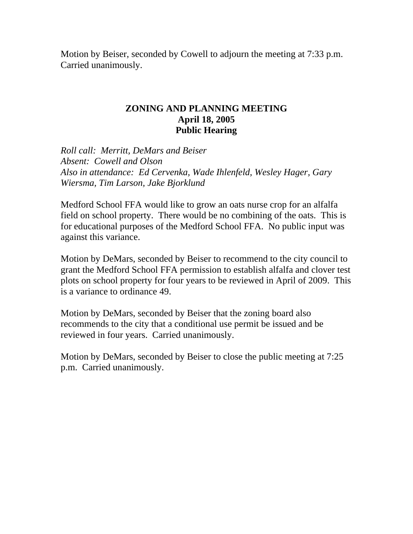Motion by Beiser, seconded by Cowell to adjourn the meeting at 7:33 p.m. Carried unanimously.

#### **ZONING AND PLANNING MEETING April 18, 2005 Public Hearing**

*Roll call: Merritt, DeMars and Beiser Absent: Cowell and Olson Also in attendance: Ed Cervenka, Wade Ihlenfeld, Wesley Hager, Gary Wiersma, Tim Larson, Jake Bjorklund* 

Medford School FFA would like to grow an oats nurse crop for an alfalfa field on school property. There would be no combining of the oats. This is for educational purposes of the Medford School FFA. No public input was against this variance.

Motion by DeMars, seconded by Beiser to recommend to the city council to grant the Medford School FFA permission to establish alfalfa and clover test plots on school property for four years to be reviewed in April of 2009. This is a variance to ordinance 49.

Motion by DeMars, seconded by Beiser that the zoning board also recommends to the city that a conditional use permit be issued and be reviewed in four years. Carried unanimously.

Motion by DeMars, seconded by Beiser to close the public meeting at 7:25 p.m. Carried unanimously.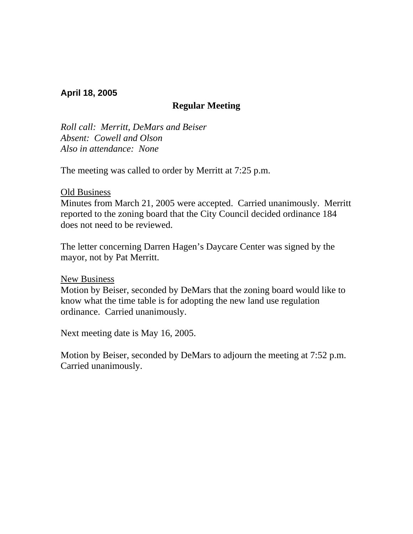#### **April 18, 2005**

## **Regular Meeting**

*Roll call: Merritt, DeMars and Beiser Absent: Cowell and Olson Also in attendance: None* 

The meeting was called to order by Merritt at 7:25 p.m.

#### Old Business

Minutes from March 21, 2005 were accepted. Carried unanimously. Merritt reported to the zoning board that the City Council decided ordinance 184 does not need to be reviewed.

The letter concerning Darren Hagen's Daycare Center was signed by the mayor, not by Pat Merritt.

New Business

Motion by Beiser, seconded by DeMars that the zoning board would like to know what the time table is for adopting the new land use regulation ordinance. Carried unanimously.

Next meeting date is May 16, 2005.

Motion by Beiser, seconded by DeMars to adjourn the meeting at 7:52 p.m. Carried unanimously.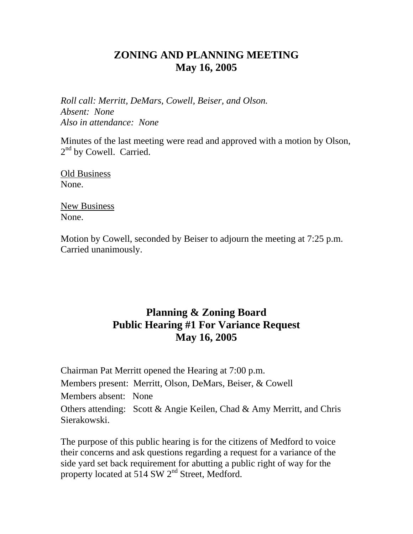## **ZONING AND PLANNING MEETING May 16, 2005**

*Roll call: Merritt, DeMars, Cowell, Beiser, and Olson. Absent: None Also in attendance: None* 

Minutes of the last meeting were read and approved with a motion by Olson, 2<sup>nd</sup> by Cowell. Carried.

Old Business None.

New Business None.

Motion by Cowell, seconded by Beiser to adjourn the meeting at 7:25 p.m. Carried unanimously.

# **Planning & Zoning Board Public Hearing #1 For Variance Request May 16, 2005**

Chairman Pat Merritt opened the Hearing at 7:00 p.m. Members present: Merritt, Olson, DeMars, Beiser, & Cowell Members absent: None Others attending: Scott & Angie Keilen, Chad & Amy Merritt, and Chris Sierakowski.

The purpose of this public hearing is for the citizens of Medford to voice their concerns and ask questions regarding a request for a variance of the side yard set back requirement for abutting a public right of way for the property located at 514 SW 2<sup>nd</sup> Street, Medford.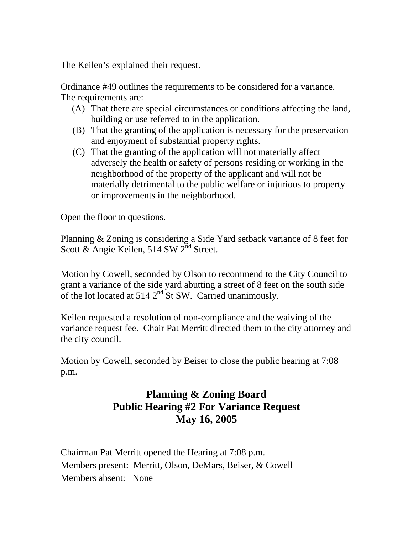The Keilen's explained their request.

Ordinance #49 outlines the requirements to be considered for a variance. The requirements are:

- (A) That there are special circumstances or conditions affecting the land, building or use referred to in the application.
- (B) That the granting of the application is necessary for the preservation and enjoyment of substantial property rights.
- (C) That the granting of the application will not materially affect adversely the health or safety of persons residing or working in the neighborhood of the property of the applicant and will not be materially detrimental to the public welfare or injurious to property or improvements in the neighborhood.

Open the floor to questions.

Planning & Zoning is considering a Side Yard setback variance of 8 feet for Scott & Angie Keilen, 514 SW 2<sup>nd</sup> Street.

Motion by Cowell, seconded by Olson to recommend to the City Council to grant a variance of the side yard abutting a street of 8 feet on the south side of the lot located at 514 2<sup>nd</sup> St SW. Carried unanimously.

Keilen requested a resolution of non-compliance and the waiving of the variance request fee. Chair Pat Merritt directed them to the city attorney and the city council.

Motion by Cowell, seconded by Beiser to close the public hearing at 7:08 p.m.

# **Planning & Zoning Board Public Hearing #2 For Variance Request May 16, 2005**

Chairman Pat Merritt opened the Hearing at 7:08 p.m. Members present: Merritt, Olson, DeMars, Beiser, & Cowell Members absent: None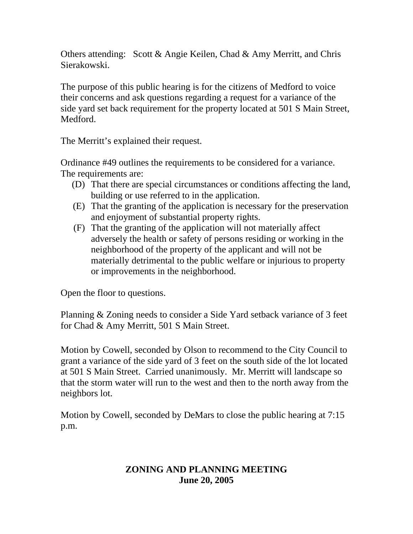Others attending: Scott & Angie Keilen, Chad & Amy Merritt, and Chris Sierakowski.

The purpose of this public hearing is for the citizens of Medford to voice their concerns and ask questions regarding a request for a variance of the side yard set back requirement for the property located at 501 S Main Street, Medford.

The Merritt's explained their request.

Ordinance #49 outlines the requirements to be considered for a variance. The requirements are:

- (D) That there are special circumstances or conditions affecting the land, building or use referred to in the application.
- (E) That the granting of the application is necessary for the preservation and enjoyment of substantial property rights.
- (F) That the granting of the application will not materially affect adversely the health or safety of persons residing or working in the neighborhood of the property of the applicant and will not be materially detrimental to the public welfare or injurious to property or improvements in the neighborhood.

Open the floor to questions.

Planning & Zoning needs to consider a Side Yard setback variance of 3 feet for Chad & Amy Merritt, 501 S Main Street.

Motion by Cowell, seconded by Olson to recommend to the City Council to grant a variance of the side yard of 3 feet on the south side of the lot located at 501 S Main Street. Carried unanimously. Mr. Merritt will landscape so that the storm water will run to the west and then to the north away from the neighbors lot.

Motion by Cowell, seconded by DeMars to close the public hearing at 7:15 p.m.

## **ZONING AND PLANNING MEETING June 20, 2005**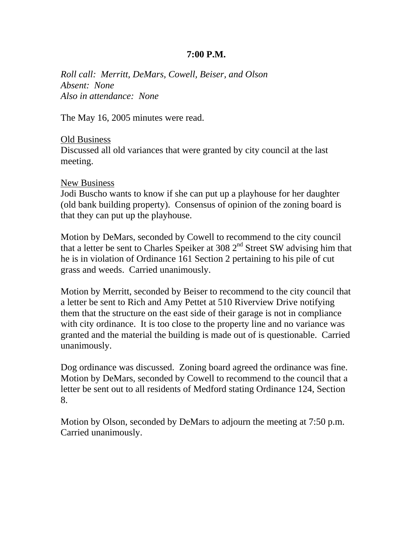#### **7:00 P.M.**

*Roll call: Merritt, DeMars, Cowell, Beiser, and Olson Absent: None Also in attendance: None* 

The May 16, 2005 minutes were read.

#### Old Business

Discussed all old variances that were granted by city council at the last meeting.

#### New Business

Jodi Buscho wants to know if she can put up a playhouse for her daughter (old bank building property). Consensus of opinion of the zoning board is that they can put up the playhouse.

Motion by DeMars, seconded by Cowell to recommend to the city council that a letter be sent to Charles Speiker at 308  $2<sup>nd</sup>$  Street SW advising him that he is in violation of Ordinance 161 Section 2 pertaining to his pile of cut grass and weeds. Carried unanimously.

Motion by Merritt, seconded by Beiser to recommend to the city council that a letter be sent to Rich and Amy Pettet at 510 Riverview Drive notifying them that the structure on the east side of their garage is not in compliance with city ordinance. It is too close to the property line and no variance was granted and the material the building is made out of is questionable. Carried unanimously.

Dog ordinance was discussed. Zoning board agreed the ordinance was fine. Motion by DeMars, seconded by Cowell to recommend to the council that a letter be sent out to all residents of Medford stating Ordinance 124, Section 8.

Motion by Olson, seconded by DeMars to adjourn the meeting at 7:50 p.m. Carried unanimously.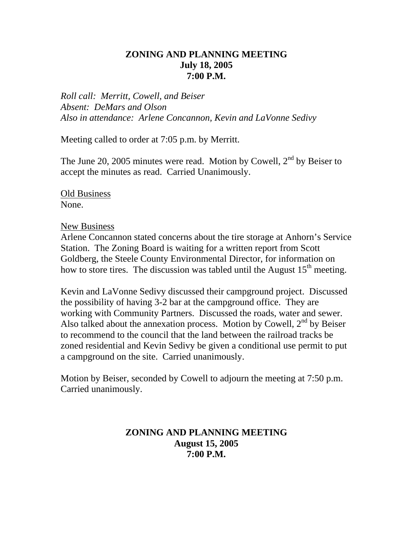## **ZONING AND PLANNING MEETING July 18, 2005 7:00 P.M.**

*Roll call: Merritt, Cowell, and Beiser Absent: DeMars and Olson Also in attendance: Arlene Concannon, Kevin and LaVonne Sedivy* 

Meeting called to order at 7:05 p.m. by Merritt.

The June 20, 2005 minutes were read. Motion by Cowell,  $2<sup>nd</sup>$  by Beiser to accept the minutes as read. Carried Unanimously.

Old Business None.

New Business

Arlene Concannon stated concerns about the tire storage at Anhorn's Service Station. The Zoning Board is waiting for a written report from Scott Goldberg, the Steele County Environmental Director, for information on how to store tires. The discussion was tabled until the August  $15<sup>th</sup>$  meeting.

Kevin and LaVonne Sedivy discussed their campground project. Discussed the possibility of having 3-2 bar at the campground office. They are working with Community Partners. Discussed the roads, water and sewer. Also talked about the annexation process. Motion by Cowell,  $2<sup>nd</sup>$  by Beiser to recommend to the council that the land between the railroad tracks be zoned residential and Kevin Sedivy be given a conditional use permit to put a campground on the site. Carried unanimously.

Motion by Beiser, seconded by Cowell to adjourn the meeting at 7:50 p.m. Carried unanimously.

## **ZONING AND PLANNING MEETING August 15, 2005 7:00 P.M.**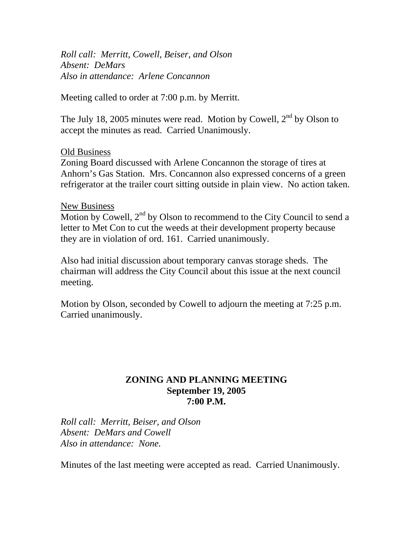*Roll call: Merritt, Cowell, Beiser, and Olson Absent: DeMars Also in attendance: Arlene Concannon* 

Meeting called to order at 7:00 p.m. by Merritt.

The July 18, 2005 minutes were read. Motion by Cowell,  $2<sup>nd</sup>$  by Olson to accept the minutes as read. Carried Unanimously.

#### Old Business

Zoning Board discussed with Arlene Concannon the storage of tires at Anhorn's Gas Station. Mrs. Concannon also expressed concerns of a green refrigerator at the trailer court sitting outside in plain view. No action taken.

#### New Business

Motion by Cowell,  $2<sup>nd</sup>$  by Olson to recommend to the City Council to send a letter to Met Con to cut the weeds at their development property because they are in violation of ord. 161. Carried unanimously.

Also had initial discussion about temporary canvas storage sheds. The chairman will address the City Council about this issue at the next council meeting.

Motion by Olson, seconded by Cowell to adjourn the meeting at 7:25 p.m. Carried unanimously.

#### **ZONING AND PLANNING MEETING September 19, 2005 7:00 P.M.**

*Roll call: Merritt, Beiser, and Olson Absent: DeMars and Cowell Also in attendance: None.* 

Minutes of the last meeting were accepted as read. Carried Unanimously.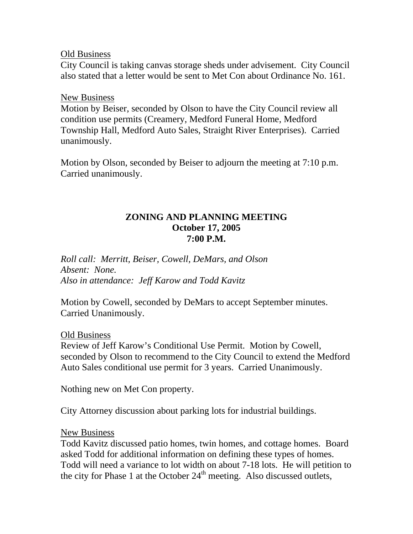Old Business

City Council is taking canvas storage sheds under advisement. City Council also stated that a letter would be sent to Met Con about Ordinance No. 161.

## New Business

Motion by Beiser, seconded by Olson to have the City Council review all condition use permits (Creamery, Medford Funeral Home, Medford Township Hall, Medford Auto Sales, Straight River Enterprises). Carried unanimously.

Motion by Olson, seconded by Beiser to adjourn the meeting at 7:10 p.m. Carried unanimously.

## **ZONING AND PLANNING MEETING October 17, 2005 7:00 P.M.**

*Roll call: Merritt, Beiser, Cowell, DeMars, and Olson Absent: None. Also in attendance: Jeff Karow and Todd Kavitz* 

Motion by Cowell, seconded by DeMars to accept September minutes. Carried Unanimously.

#### Old Business

Review of Jeff Karow's Conditional Use Permit. Motion by Cowell, seconded by Olson to recommend to the City Council to extend the Medford Auto Sales conditional use permit for 3 years. Carried Unanimously.

Nothing new on Met Con property.

City Attorney discussion about parking lots for industrial buildings.

#### New Business

Todd Kavitz discussed patio homes, twin homes, and cottage homes. Board asked Todd for additional information on defining these types of homes. Todd will need a variance to lot width on about 7-18 lots. He will petition to the city for Phase 1 at the October  $24<sup>th</sup>$  meeting. Also discussed outlets,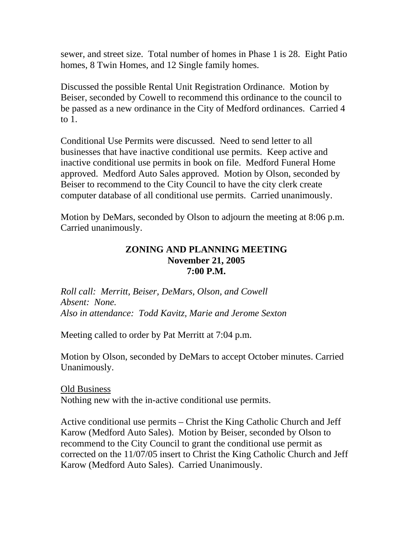sewer, and street size. Total number of homes in Phase 1 is 28. Eight Patio homes, 8 Twin Homes, and 12 Single family homes.

Discussed the possible Rental Unit Registration Ordinance. Motion by Beiser, seconded by Cowell to recommend this ordinance to the council to be passed as a new ordinance in the City of Medford ordinances. Carried 4 to 1.

Conditional Use Permits were discussed. Need to send letter to all businesses that have inactive conditional use permits. Keep active and inactive conditional use permits in book on file. Medford Funeral Home approved. Medford Auto Sales approved. Motion by Olson, seconded by Beiser to recommend to the City Council to have the city clerk create computer database of all conditional use permits. Carried unanimously.

Motion by DeMars, seconded by Olson to adjourn the meeting at 8:06 p.m. Carried unanimously.

## **ZONING AND PLANNING MEETING November 21, 2005 7:00 P.M.**

*Roll call: Merritt, Beiser, DeMars, Olson, and Cowell Absent: None. Also in attendance: Todd Kavitz, Marie and Jerome Sexton* 

Meeting called to order by Pat Merritt at 7:04 p.m.

Motion by Olson, seconded by DeMars to accept October minutes. Carried Unanimously.

Old Business Nothing new with the in-active conditional use permits.

Active conditional use permits – Christ the King Catholic Church and Jeff Karow (Medford Auto Sales). Motion by Beiser, seconded by Olson to recommend to the City Council to grant the conditional use permit as corrected on the 11/07/05 insert to Christ the King Catholic Church and Jeff Karow (Medford Auto Sales). Carried Unanimously.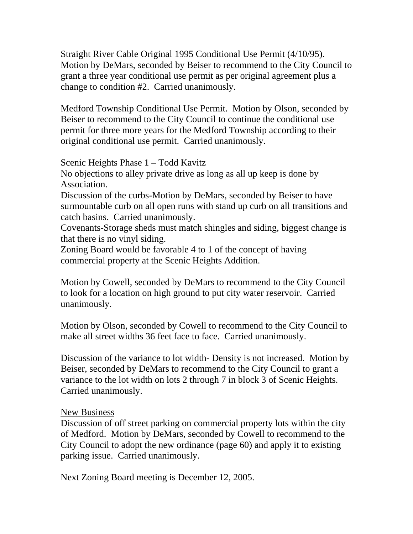Straight River Cable Original 1995 Conditional Use Permit (4/10/95). Motion by DeMars, seconded by Beiser to recommend to the City Council to grant a three year conditional use permit as per original agreement plus a change to condition #2. Carried unanimously.

Medford Township Conditional Use Permit. Motion by Olson, seconded by Beiser to recommend to the City Council to continue the conditional use permit for three more years for the Medford Township according to their original conditional use permit. Carried unanimously.

Scenic Heights Phase 1 – Todd Kavitz

No objections to alley private drive as long as all up keep is done by Association.

Discussion of the curbs-Motion by DeMars, seconded by Beiser to have surmountable curb on all open runs with stand up curb on all transitions and catch basins. Carried unanimously.

Covenants-Storage sheds must match shingles and siding, biggest change is that there is no vinyl siding.

Zoning Board would be favorable 4 to 1 of the concept of having commercial property at the Scenic Heights Addition.

Motion by Cowell, seconded by DeMars to recommend to the City Council to look for a location on high ground to put city water reservoir. Carried unanimously.

Motion by Olson, seconded by Cowell to recommend to the City Council to make all street widths 36 feet face to face. Carried unanimously.

Discussion of the variance to lot width- Density is not increased. Motion by Beiser, seconded by DeMars to recommend to the City Council to grant a variance to the lot width on lots 2 through 7 in block 3 of Scenic Heights. Carried unanimously.

#### New Business

Discussion of off street parking on commercial property lots within the city of Medford. Motion by DeMars, seconded by Cowell to recommend to the City Council to adopt the new ordinance (page 60) and apply it to existing parking issue. Carried unanimously.

Next Zoning Board meeting is December 12, 2005.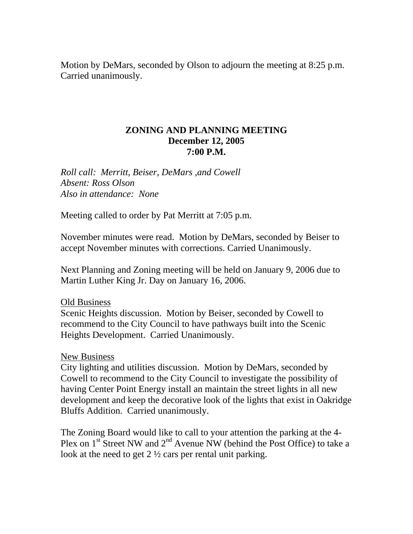Motion by DeMars, seconded by Olson to adjourn the meeting at 8:25 p.m. Carried unanimously.

#### **ZONING AND PLANNING MEETING December 12, 2005 7:00 P.M.**

*Roll call: Merritt, Beiser, DeMars ,and Cowell Absent: Ross Olson Also in attendance: None* 

Meeting called to order by Pat Merritt at 7:05 p.m.

November minutes were read. Motion by DeMars, seconded by Beiser to accept November minutes with corrections. Carried Unanimously.

Next Planning and Zoning meeting will be held on January 9, 2006 due to Martin Luther King Jr. Day on January 16, 2006.

#### Old Business

Scenic Heights discussion. Motion by Beiser, seconded by Cowell to recommend to the City Council to have pathways built into the Scenic Heights Development. Carried Unanimously.

#### New Business

City lighting and utilities discussion. Motion by DeMars, seconded by Cowell to recommend to the City Council to investigate the possibility of having Center Point Energy install an maintain the street lights in all new development and keep the decorative look of the lights that exist in Oakridge Bluffs Addition. Carried unanimously.

The Zoning Board would like to call to your attention the parking at the 4- Plex on  $1^{st}$  Street NW and  $2^{nd}$  Avenue NW (behind the Post Office) to take a look at the need to get 2 <sup>1</sup>/<sub>2</sub> cars per rental unit parking.